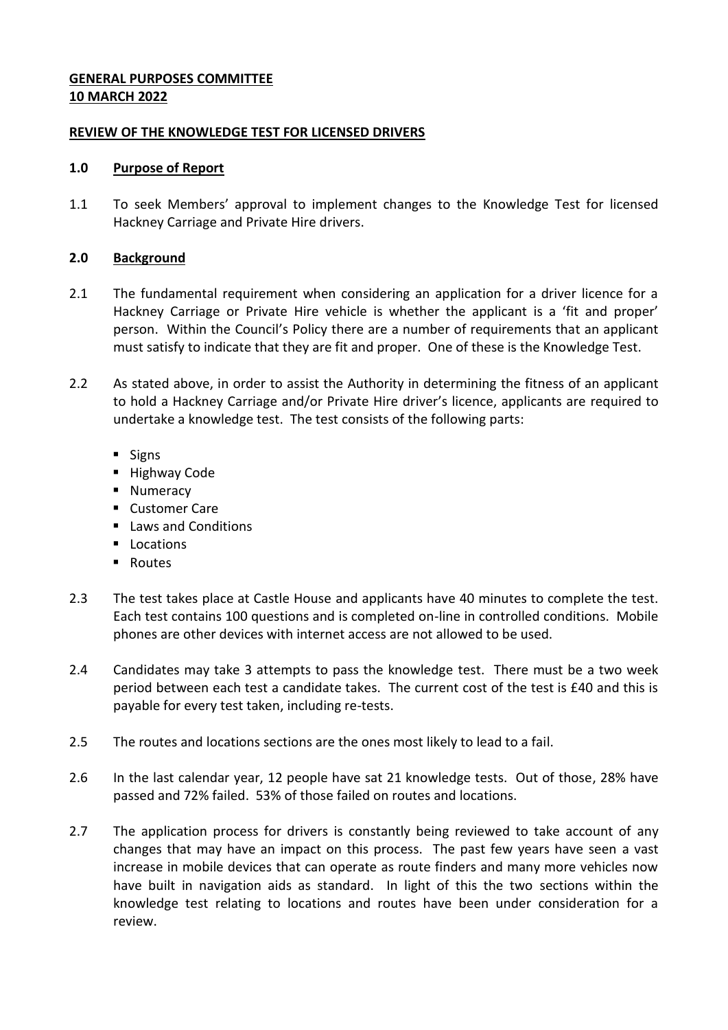## **GENERAL PURPOSES COMMITTEE 10 MARCH 2022**

### **REVIEW OF THE KNOWLEDGE TEST FOR LICENSED DRIVERS**

## **1.0 Purpose of Report**

1.1 To seek Members' approval to implement changes to the Knowledge Test for licensed Hackney Carriage and Private Hire drivers.

## **2.0 Background**

- 2.1 The fundamental requirement when considering an application for a driver licence for a Hackney Carriage or Private Hire vehicle is whether the applicant is a 'fit and proper' person. Within the Council's Policy there are a number of requirements that an applicant must satisfy to indicate that they are fit and proper. One of these is the Knowledge Test.
- 2.2 As stated above, in order to assist the Authority in determining the fitness of an applicant to hold a Hackney Carriage and/or Private Hire driver's licence, applicants are required to undertake a knowledge test. The test consists of the following parts:
	- $\blacksquare$  Signs
	- **Highway Code**
	- **Numeracy**
	- Customer Care
	- $\blacksquare$  Laws and Conditions
	- **Locations**
	- **Routes**
- 2.3 The test takes place at Castle House and applicants have 40 minutes to complete the test. Each test contains 100 questions and is completed on-line in controlled conditions. Mobile phones are other devices with internet access are not allowed to be used.
- 2.4 Candidates may take 3 attempts to pass the knowledge test. There must be a two week period between each test a candidate takes. The current cost of the test is £40 and this is payable for every test taken, including re-tests.
- 2.5 The routes and locations sections are the ones most likely to lead to a fail.
- 2.6 In the last calendar year, 12 people have sat 21 knowledge tests. Out of those, 28% have passed and 72% failed. 53% of those failed on routes and locations.
- 2.7 The application process for drivers is constantly being reviewed to take account of any changes that may have an impact on this process. The past few years have seen a vast increase in mobile devices that can operate as route finders and many more vehicles now have built in navigation aids as standard. In light of this the two sections within the knowledge test relating to locations and routes have been under consideration for a review.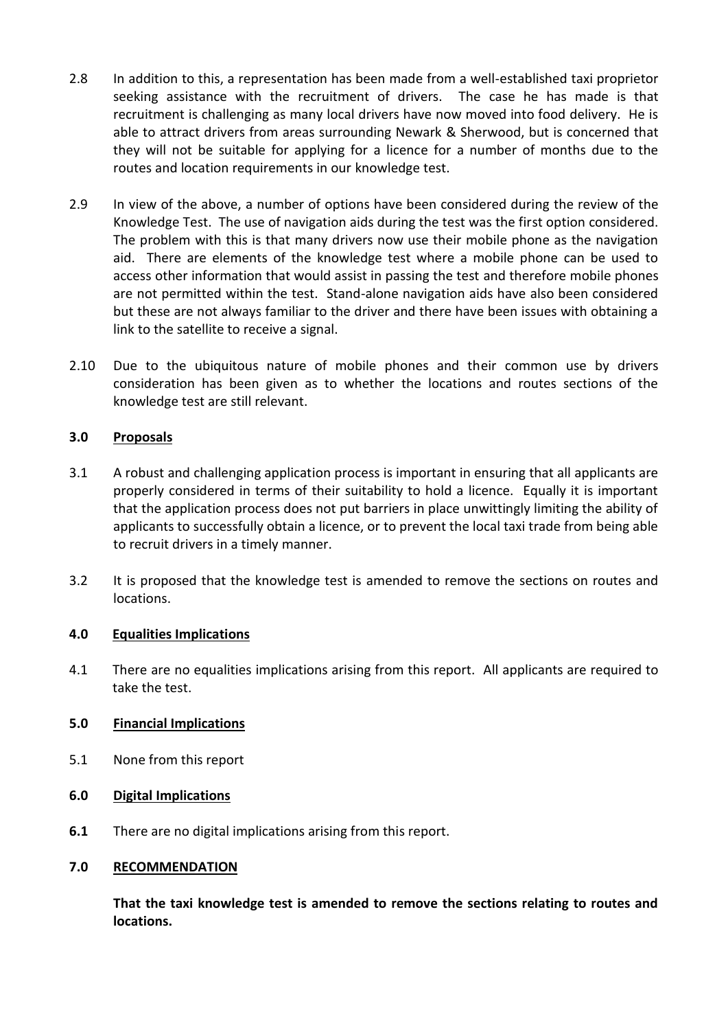- 2.8 In addition to this, a representation has been made from a well-established taxi proprietor seeking assistance with the recruitment of drivers. The case he has made is that recruitment is challenging as many local drivers have now moved into food delivery. He is able to attract drivers from areas surrounding Newark & Sherwood, but is concerned that they will not be suitable for applying for a licence for a number of months due to the routes and location requirements in our knowledge test.
- 2.9 In view of the above, a number of options have been considered during the review of the Knowledge Test. The use of navigation aids during the test was the first option considered. The problem with this is that many drivers now use their mobile phone as the navigation aid. There are elements of the knowledge test where a mobile phone can be used to access other information that would assist in passing the test and therefore mobile phones are not permitted within the test. Stand-alone navigation aids have also been considered but these are not always familiar to the driver and there have been issues with obtaining a link to the satellite to receive a signal.
- 2.10 Due to the ubiquitous nature of mobile phones and their common use by drivers consideration has been given as to whether the locations and routes sections of the knowledge test are still relevant.

## **3.0 Proposals**

- 3.1 A robust and challenging application process is important in ensuring that all applicants are properly considered in terms of their suitability to hold a licence. Equally it is important that the application process does not put barriers in place unwittingly limiting the ability of applicants to successfully obtain a licence, or to prevent the local taxi trade from being able to recruit drivers in a timely manner.
- 3.2 It is proposed that the knowledge test is amended to remove the sections on routes and locations.

### **4.0 Equalities Implications**

4.1 There are no equalities implications arising from this report. All applicants are required to take the test.

### **5.0 Financial Implications**

- 5.1 None from this report
- **6.0 Digital Implications**
- **6.1** There are no digital implications arising from this report.

#### **7.0 RECOMMENDATION**

**That the taxi knowledge test is amended to remove the sections relating to routes and locations.**